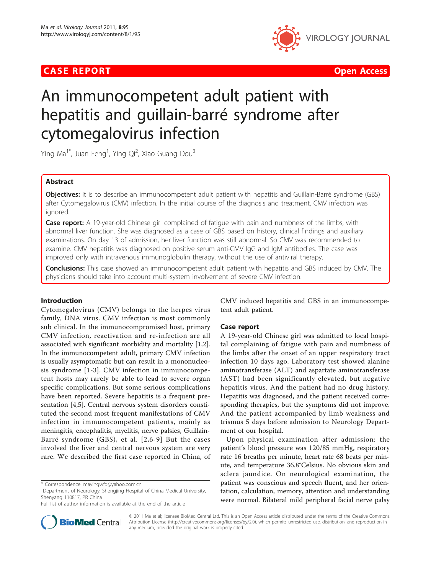# **CASE REPORT CASE REPORT CASE REPORT**



# An immunocompetent adult patient with hepatitis and guillain-barré syndrome after cytomegalovirus infection

Ying Ma<sup>1\*</sup>, Juan Feng<sup>1</sup>, Ying Qi<sup>2</sup>, Xiao Guang Dou<sup>3</sup>

# Abstract

Objectives: It is to describe an immunocompetent adult patient with hepatitis and Guillain-Barré syndrome (GBS) after Cytomegalovirus (CMV) infection. In the initial course of the diagnosis and treatment, CMV infection was ignored.

Case report: A 19-year-old Chinese girl complained of fatigue with pain and numbness of the limbs, with abnormal liver function. She was diagnosed as a case of GBS based on history, clinical findings and auxiliary examinations. On day 13 of admission, her liver function was still abnormal. So CMV was recommended to examine. CMV hepatitis was diagnosed on positive serum anti-CMV IgG and IgM antibodies. The case was improved only with intravenous immunoglobulin therapy, without the use of antiviral therapy.

Conclusions: This case showed an immunocompetent adult patient with hepatitis and GBS induced by CMV. The physicians should take into account multi-system involvement of severe CMV infection.

# Introduction

Cytomegalovirus (CMV) belongs to the herpes virus family, DNA virus. CMV infection is most commonly sub clinical. In the immunocompromised host, primary CMV infection, reactivation and re-infection are all associated with significant morbidity and mortality [\[1,2](#page-2-0)]. In the immunocompetent adult, primary CMV infection is usually asymptomatic but can result in a mononucleosis syndrome [[1-3\]](#page-2-0). CMV infection in immunocompetent hosts may rarely be able to lead to severe organ specific complications. But some serious complications have been reported. Severe hepatitis is a frequent presentation [[4,5\]](#page-2-0). Central nervous system disorders constituted the second most frequent manifestations of CMV infection in immunocompetent patients, mainly as meningitis, encephalitis, myelitis, nerve palsies, Guillain-Barré syndrome (GBS), et al. [[2,6-9](#page-2-0)] But the cases involved the liver and central nervous system are very rare. We described the first case reported in China, of



### Case report

A 19-year-old Chinese girl was admitted to local hospital complaining of fatigue with pain and numbness of the limbs after the onset of an upper respiratory tract infection 10 days ago. Laboratory test showed alanine aminotransferase (ALT) and aspartate aminotransferase (AST) had been significantly elevated, but negative hepatitis virus. And the patient had no drug history. Hepatitis was diagnosed, and the patient received corresponding therapies, but the symptoms did not improve. And the patient accompanied by limb weakness and trismus 5 days before admission to Neurology Department of our hospital.

Upon physical examination after admission: the patient's blood pressure was 120/85 mmHg, respiratory rate 16 breaths per minute, heart rate 68 beats per minute, and temperature 36.8°Celsius. No obvious skin and sclera jaundice. On neurological examination, the patient was conscious and speech fluent, and her orientation, calculation, memory, attention and understanding were normal. Bilateral mild peripheral facial nerve palsy



© 2011 Ma et al; licensee BioMed Central Ltd. This is an Open Access article distributed under the terms of the Creative Commons Attribution License [\(http://creativecommons.org/licenses/by/2.0](http://creativecommons.org/licenses/by/2.0)), which permits unrestricted use, distribution, and reproduction in any medium, provided the original work is properly cited.

<sup>\*</sup> Correspondence: [mayingwfd@yahoo.com.cn](mailto:mayingwfd@yahoo.com.cn)

<sup>&</sup>lt;sup>1</sup>Department of Neurology, Shengjing Hospital of China Medical University, Shenyang 110817, PR China

Full list of author information is available at the end of the article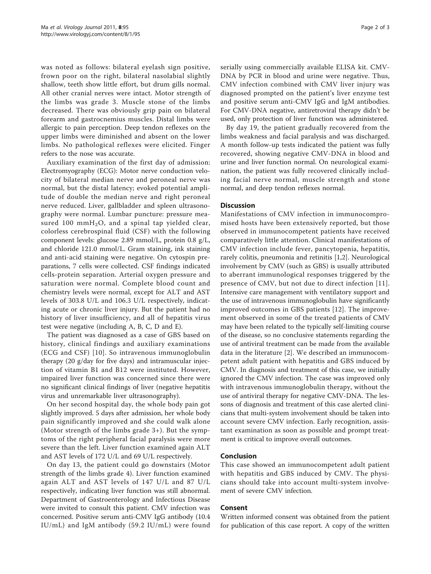was noted as follows: bilateral eyelash sign positive, frown poor on the right, bilateral nasolabial slightly shallow, teeth show little effort, but drum gills normal. All other cranial nerves were intact. Motor strength of the limbs was grade 3. Muscle stone of the limbs decreased. There was obviously grip pain on bilateral forearm and gastrocnemius muscles. Distal limbs were allergic to pain perception. Deep tendon reflexes on the upper limbs were diminished and absent on the lower limbs. No pathological reflexes were elicited. Finger refers to the nose was accurate.

Auxiliary examination of the first day of admission: Electromyography (ECG): Motor nerve conduction velocity of bilateral median nerve and peroneal nerve was normal, but the distal latency; evoked potential amplitude of double the median nerve and right peroneal nerve reduced. Liver, gallbladder and spleen ultrasonography were normal. Lumbar puncture: pressure measured 100 mm $H<sub>2</sub>O$ , and a spinal tap yielded clear, colorless cerebrospinal fluid (CSF) with the following component levels: glucose 2.89 mmol/L, protein 0.8 g/L, and chloride 121.0 mmol/L. Gram staining, ink staining and anti-acid staining were negative. On cytospin preparations, 7 cells were collected. CSF findings indicated cells-protein separation. Arterial oxygen pressure and saturation were normal. Complete blood count and chemistry levels were normal, except for ALT and AST levels of 303.8 U/L and 106.3 U/L respectively, indicating acute or chronic liver injury. But the patient had no history of liver insufficiency, and all of hepatitis virus test were negative (including A, B, C, D and E).

The patient was diagnosed as a case of GBS based on history, clinical findings and auxiliary examinations (ECG and CSF) [[10](#page-2-0)]. So intravenous immunoglobulin therapy (20 g/day for five days) and intramuscular injection of vitamin B1 and B12 were instituted. However, impaired liver function was concerned since there were no significant clinical findings of liver (negative hepatitis virus and unremarkable liver ultrasonography).

On her second hospital day, the whole body pain got slightly improved. 5 days after admission, her whole body pain significantly improved and she could walk alone (Motor strength of the limbs grade 3+). But the symptoms of the right peripheral facial paralysis were more severe than the left. Liver function examined again ALT and AST levels of 172 U/L and 69 U/L respectively.

On day 13, the patient could go downstairs (Motor strength of the limbs grade 4). Liver function examined again ALT and AST levels of 147 U/L and 87 U/L respectively, indicating liver function was still abnormal. Department of Gastroenterology and Infectious Disease were invited to consult this patient. CMV infection was concerned. Positive serum anti-CMV IgG antibody (10.4 IU/mL) and IgM antibody (59.2 IU/mL) were found serially using commercially available ELISA kit. CMV-DNA by PCR in blood and urine were negative. Thus, CMV infection combined with CMV liver injury was diagnosed prompted on the patient's liver enzyme test and positive serum anti-CMV IgG and IgM antibodies. For CMV-DNA negative, antiretroviral therapy didn't be used, only protection of liver function was administered.

By day 19, the patient gradually recovered from the limbs weakness and facial paralysis and was discharged. A month follow-up tests indicated the patient was fully recovered, showing negative CMV-DNA in blood and urine and liver function normal. On neurological examination, the patient was fully recovered clinically including facial nerve normal, muscle strength and stone normal, and deep tendon reflexes normal.

# **Discussion**

Manifestations of CMV infection in immunocompromised hosts have been extensively reported, but those observed in immunocompetent patients have received comparatively little attention. Clinical manifestations of CMV infection include fever, pancytopenia, hepatitis, rarely colitis, pneumonia and retinitis [[1](#page-2-0),[2\]](#page-2-0). Neurological involvement by CMV (such as GBS) is usually attributed to aberrant immunological responses triggered by the presence of CMV, but not due to direct infection [[11](#page-2-0)]. Intensive care management with ventilatory support and the use of intravenous immunoglobulin have significantly improved outcomes in GBS patients [[12\]](#page-2-0). The improvement observed in some of the treated patients of CMV may have been related to the typically self-limiting course of the disease, so no conclusive statements regarding the use of antiviral treatment can be made from the available data in the literature [\[2](#page-2-0)]. We described an immunocompetent adult patient with hepatitis and GBS induced by CMV. In diagnosis and treatment of this case, we initially ignored the CMV infection. The case was improved only with intravenous immunoglobulin therapy, without the use of antiviral therapy for negative CMV-DNA. The lessons of diagnosis and treatment of this case alerted clinicians that multi-system involvement should be taken into account severe CMV infection. Early recognition, assistant examination as soon as possible and prompt treatment is critical to improve overall outcomes.

# Conclusion

This case showed an immunocompetent adult patient with hepatitis and GBS induced by CMV. The physicians should take into account multi-system involvement of severe CMV infection.

# Consent

Written informed consent was obtained from the patient for publication of this case report. A copy of the written